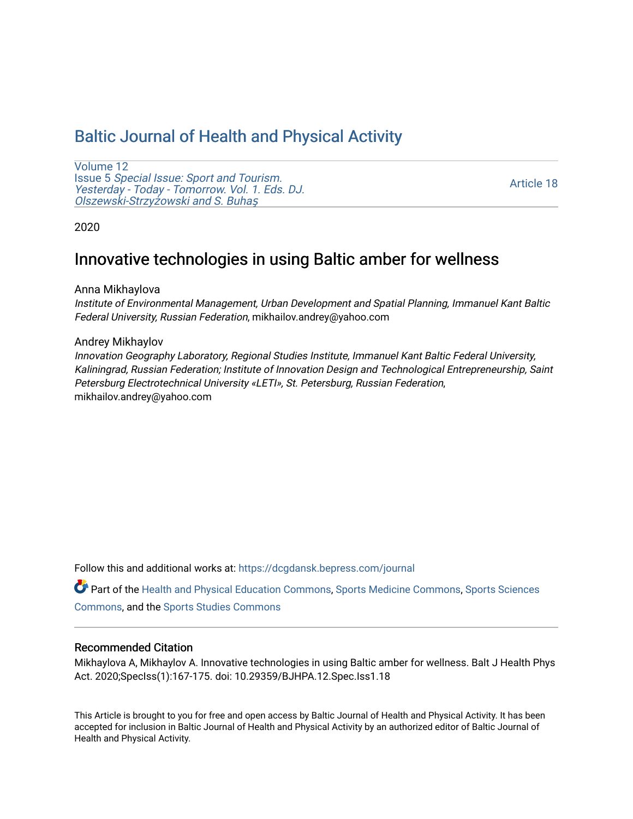# [Baltic Journal of Health and Physical Activity](https://dcgdansk.bepress.com/journal)

[Volume 12](https://dcgdansk.bepress.com/journal/vol12) Issue 5 [Special Issue: Sport and Tourism.](https://dcgdansk.bepress.com/journal/vol12/iss5)  [Yesterday - Today - Tomorrow. Vol. 1. Eds. DJ.](https://dcgdansk.bepress.com/journal/vol12/iss5)  [Olszewski-Strzy](https://dcgdansk.bepress.com/journal/vol12/iss5)żowski and S. Buhaş

[Article 18](https://dcgdansk.bepress.com/journal/vol12/iss5/18) 

2020

# Innovative technologies in using Baltic amber for wellness

Anna Mikhaylova

Institute of Environmental Management, Urban Development and Spatial Planning, Immanuel Kant Baltic Federal University, Russian Federation, mikhailov.andrey@yahoo.com

#### Andrey Mikhaylov

Innovation Geography Laboratory, Regional Studies Institute, Immanuel Kant Baltic Federal University, Kaliningrad, Russian Federation; Institute of Innovation Design and Technological Entrepreneurship, Saint Petersburg Electrotechnical University «LETI», St. Petersburg, Russian Federation, mikhailov.andrey@yahoo.com

Follow this and additional works at: [https://dcgdansk.bepress.com/journal](https://dcgdansk.bepress.com/journal?utm_source=dcgdansk.bepress.com%2Fjournal%2Fvol12%2Fiss5%2F18&utm_medium=PDF&utm_campaign=PDFCoverPages)

Part of the [Health and Physical Education Commons](http://network.bepress.com/hgg/discipline/1327?utm_source=dcgdansk.bepress.com%2Fjournal%2Fvol12%2Fiss5%2F18&utm_medium=PDF&utm_campaign=PDFCoverPages), [Sports Medicine Commons,](http://network.bepress.com/hgg/discipline/1331?utm_source=dcgdansk.bepress.com%2Fjournal%2Fvol12%2Fiss5%2F18&utm_medium=PDF&utm_campaign=PDFCoverPages) [Sports Sciences](http://network.bepress.com/hgg/discipline/759?utm_source=dcgdansk.bepress.com%2Fjournal%2Fvol12%2Fiss5%2F18&utm_medium=PDF&utm_campaign=PDFCoverPages) [Commons](http://network.bepress.com/hgg/discipline/759?utm_source=dcgdansk.bepress.com%2Fjournal%2Fvol12%2Fiss5%2F18&utm_medium=PDF&utm_campaign=PDFCoverPages), and the [Sports Studies Commons](http://network.bepress.com/hgg/discipline/1198?utm_source=dcgdansk.bepress.com%2Fjournal%2Fvol12%2Fiss5%2F18&utm_medium=PDF&utm_campaign=PDFCoverPages) 

### Recommended Citation

Mikhaylova A, Mikhaylov A. Innovative technologies in using Baltic amber for wellness. Balt J Health Phys Act. 2020;SpecIss(1):167-175. doi: 10.29359/BJHPA.12.Spec.Iss1.18

This Article is brought to you for free and open access by Baltic Journal of Health and Physical Activity. It has been accepted for inclusion in Baltic Journal of Health and Physical Activity by an authorized editor of Baltic Journal of Health and Physical Activity.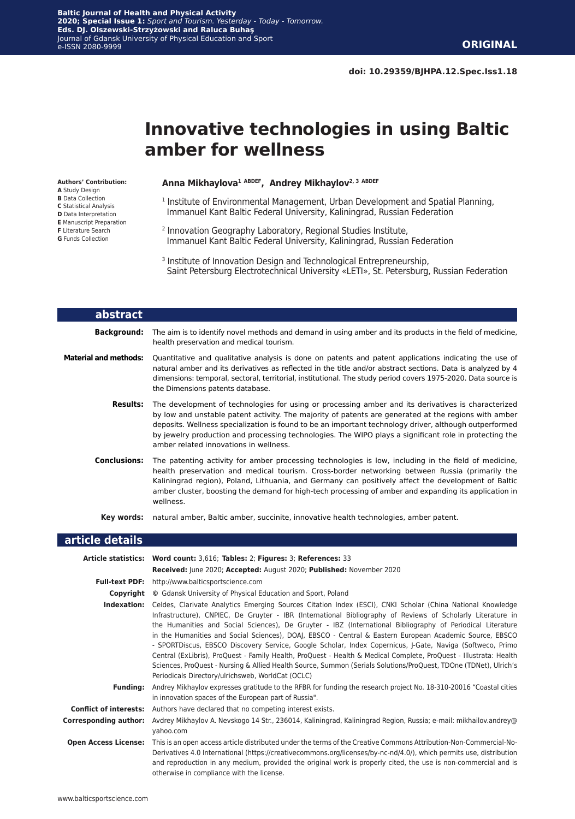# **Innovative technologies in using Baltic amber for wellness**

#### **Authors' Contribution:**

- **A** Study Design **B** Data Collection
- **C** Statistical Analysis
- **D** Data Interpretation
- **E** Manuscript Preparation
- **F** Literature Search
- **G** Funds Collection

#### **Anna Mikhaylova1 ABDEF, Andrey Mikhaylov2, 3 ABDEF**

- 1 Institute of Environmental Management, Urban Development and Spatial Planning, Immanuel Kant Baltic Federal University, Kaliningrad, Russian Federation
- 2 Innovation Geography Laboratory, Regional Studies Institute, Immanuel Kant Baltic Federal University, Kaliningrad, Russian Federation
- <sup>3</sup> Institute of Innovation Design and Technological Entrepreneurship, Saint Petersburg Electrotechnical University «LETI», St. Petersburg, Russian Federation

| abstract                     |                                                                                                                                                                                                                                                                                                                                                                                                                                                                          |
|------------------------------|--------------------------------------------------------------------------------------------------------------------------------------------------------------------------------------------------------------------------------------------------------------------------------------------------------------------------------------------------------------------------------------------------------------------------------------------------------------------------|
| Background:                  | The aim is to identify novel methods and demand in using amber and its products in the field of medicine,<br>health preservation and medical tourism.                                                                                                                                                                                                                                                                                                                    |
| <b>Material and methods:</b> | Quantitative and qualitative analysis is done on patents and patent applications indicating the use of<br>natural amber and its derivatives as reflected in the title and/or abstract sections. Data is analyzed by 4<br>dimensions: temporal, sectoral, territorial, institutional. The study period covers 1975-2020. Data source is<br>the Dimensions patents database.                                                                                               |
| <b>Results:</b>              | The development of technologies for using or processing amber and its derivatives is characterized<br>by low and unstable patent activity. The majority of patents are generated at the regions with amber<br>deposits. Wellness specialization is found to be an important technology driver, although outperformed<br>by jewelry production and processing technologies. The WIPO plays a significant role in protecting the<br>amber related innovations in wellness. |
| <b>Conclusions:</b>          | The patenting activity for amber processing technologies is low, including in the field of medicine,<br>health preservation and medical tourism. Cross-border networking between Russia (primarily the<br>Kaliningrad region), Poland, Lithuania, and Germany can positively affect the development of Baltic<br>amber cluster, boosting the demand for high-tech processing of amber and expanding its application in<br>wellness.                                      |
| Key words:                   | natural amber, Baltic amber, succinite, innovative health technologies, amber patent.                                                                                                                                                                                                                                                                                                                                                                                    |

### **article details**

|                               | Article statistics: Word count: 3,616; Tables: 2; Figures: 3; References: 33                                                                                                                                                                                                                                                                                                                                                                                                                                                                                                                                                                                                                                                                                                                                                                                  |  |  |  |  |  |  |
|-------------------------------|---------------------------------------------------------------------------------------------------------------------------------------------------------------------------------------------------------------------------------------------------------------------------------------------------------------------------------------------------------------------------------------------------------------------------------------------------------------------------------------------------------------------------------------------------------------------------------------------------------------------------------------------------------------------------------------------------------------------------------------------------------------------------------------------------------------------------------------------------------------|--|--|--|--|--|--|
|                               | Received: June 2020; Accepted: August 2020; Published: November 2020                                                                                                                                                                                                                                                                                                                                                                                                                                                                                                                                                                                                                                                                                                                                                                                          |  |  |  |  |  |  |
| <b>Full-text PDF:</b>         | http://www.balticsportscience.com                                                                                                                                                                                                                                                                                                                                                                                                                                                                                                                                                                                                                                                                                                                                                                                                                             |  |  |  |  |  |  |
|                               | <b>Copyright</b> © Gdansk University of Physical Education and Sport, Poland                                                                                                                                                                                                                                                                                                                                                                                                                                                                                                                                                                                                                                                                                                                                                                                  |  |  |  |  |  |  |
| Indexation:                   | Celdes, Clarivate Analytics Emerging Sources Citation Index (ESCI), CNKI Scholar (China National Knowledge<br>Infrastructure), CNPIEC, De Gruyter - IBR (International Bibliography of Reviews of Scholarly Literature in<br>the Humanities and Social Sciences), De Gruyter - IBZ (International Bibliography of Periodical Literature<br>in the Humanities and Social Sciences), DOAJ, EBSCO - Central & Eastern European Academic Source, EBSCO<br>- SPORTDiscus, EBSCO Discovery Service, Google Scholar, Index Copernicus, J-Gate, Naviga (Softweco, Primo<br>Central (ExLibris), ProQuest - Family Health, ProQuest - Health & Medical Complete, ProQuest - Illustrata: Health<br>Sciences, ProQuest - Nursing & Allied Health Source, Summon (Serials Solutions/ProQuest, TDOne (TDNet), Ulrich's<br>Periodicals Directory/ulrichsweb, WorldCat (OCLC) |  |  |  |  |  |  |
| <b>Funding:</b>               | Andrey Mikhaylov expresses gratitude to the RFBR for funding the research project No. 18-310-20016 "Coastal cities<br>in innovation spaces of the European part of Russia".                                                                                                                                                                                                                                                                                                                                                                                                                                                                                                                                                                                                                                                                                   |  |  |  |  |  |  |
| <b>Conflict of interests:</b> | Authors have declared that no competing interest exists.                                                                                                                                                                                                                                                                                                                                                                                                                                                                                                                                                                                                                                                                                                                                                                                                      |  |  |  |  |  |  |
| Corresponding author:         | Avdrey Mikhaylov A. Nevskogo 14 Str., 236014, Kaliningrad, Kaliningrad Region, Russia; e-mail: mikhailov.andrey@<br>yahoo.com                                                                                                                                                                                                                                                                                                                                                                                                                                                                                                                                                                                                                                                                                                                                 |  |  |  |  |  |  |
| <b>Open Access License:</b>   | This is an open access article distributed under the terms of the Creative Commons Attribution-Non-Commercial-No-<br>Derivatives 4.0 International (https://creativecommons.org/licenses/by-nc-nd/4.0/), which permits use, distribution<br>and reproduction in any medium, provided the original work is properly cited, the use is non-commercial and is<br>otherwise in compliance with the license.                                                                                                                                                                                                                                                                                                                                                                                                                                                       |  |  |  |  |  |  |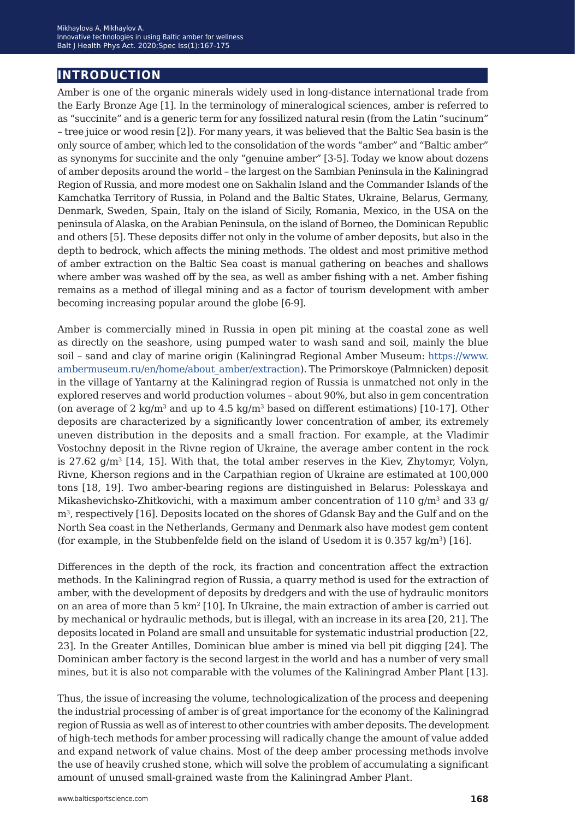# **introduction**

Amber is one of the organic minerals widely used in long-distance international trade from the Early Bronze Age [1]. In the terminology of mineralogical sciences, amber is referred to as "succinite" and is a generic term for any fossilized natural resin (from the Latin "sucinum" – tree juice or wood resin [2]). For many years, it was believed that the Baltic Sea basin is the only source of amber, which led to the consolidation of the words "amber" and "Baltic amber" as synonyms for succinite and the only "genuine amber" [3-5]. Today we know about dozens of amber deposits around the world – the largest on the Sambian Peninsula in the Kaliningrad Region of Russia, and more modest one on Sakhalin Island and the Commander Islands of the Kamchatka Territory of Russia, in Poland and the Baltic States, Ukraine, Belarus, Germany, Denmark, Sweden, Spain, Italy on the island of Sicily, Romania, Mexico, in the USA on the peninsula of Alaska, on the Arabian Peninsula, on the island of Borneo, the Dominican Republic and others [5]. These deposits differ not only in the volume of amber deposits, but also in the depth to bedrock, which affects the mining methods. The oldest and most primitive method of amber extraction on the Baltic Sea coast is manual gathering on beaches and shallows where amber was washed off by the sea, as well as amber fishing with a net. Amber fishing remains as a method of illegal mining and as a factor of tourism development with amber becoming increasing popular around the globe [6-9].

Amber is commercially mined in Russia in open pit mining at the coastal zone as well as directly on the seashore, using pumped water to wash sand and soil, mainly the blue soil – sand and clay of marine origin (Kaliningrad Regional Amber Museum: [https://www.](https://www.ambermuseum.ru/en/home/about_amber/extraction) [ambermuseum.ru/en/home/about\\_amber/extraction](https://www.ambermuseum.ru/en/home/about_amber/extraction)). The Primorskoye (Palmnicken) deposit in the village of Yantarny at the Kaliningrad region of Russia is unmatched not only in the explored reserves and world production volumes – about 90%, but also in gem concentration (on average of 2 kg/m<sup>3</sup> and up to  $4.5 \text{ kg/m}^3$  based on different estimations) [10-17]. Other deposits are characterized by a significantly lower concentration of amber, its extremely uneven distribution in the deposits and a small fraction. For example, at the Vladimir Vostochny deposit in the Rivne region of Ukraine, the average amber content in the rock is  $27.62$  g/m<sup>3</sup> [14, 15]. With that, the total amber reserves in the Kiev, Zhytomyr, Volyn, Rivne, Kherson regions and in the Carpathian region of Ukraine are estimated at 100,000 tons [18, 19]. Two amber-bearing regions are distinguished in Belarus: Polesskaya and Mikashevichsko-Zhitkovichi, with a maximum amber concentration of 110  $g/m<sup>3</sup>$  and 33 g/ m3, respectively [16]. Deposits located on the shores of Gdansk Bay and the Gulf and on the North Sea coast in the Netherlands, Germany and Denmark also have modest gem content (for example, in the Stubbenfelde field on the island of Usedom it is  $0.357 \text{ kg/m}^3$ ) [16].

Differences in the depth of the rock, its fraction and concentration affect the extraction methods. In the Kaliningrad region of Russia, a quarry method is used for the extraction of amber, with the development of deposits by dredgers and with the use of hydraulic monitors on an area of more than  $5 \text{ km}^2$  [10]. In Ukraine, the main extraction of amber is carried out by mechanical or hydraulic methods, but is illegal, with an increase in its area [20, 21]. The deposits located in Poland are small and unsuitable for systematic industrial production [22, 23]. In the Greater Antilles, Dominican blue amber is mined via bell pit digging [24]. The Dominican amber factory is the second largest in the world and has a number of very small mines, but it is also not comparable with the volumes of the Kaliningrad Amber Plant [13].

Thus, the issue of increasing the volume, technologicalization of the process and deepening the industrial processing of amber is of great importance for the economy of the Kaliningrad region of Russia as well as of interest to other countries with amber deposits. The development of high-tech methods for amber processing will radically change the amount of value added and expand network of value chains. Most of the deep amber processing methods involve the use of heavily crushed stone, which will solve the problem of accumulating a significant amount of unused small-grained waste from the Kaliningrad Amber Plant.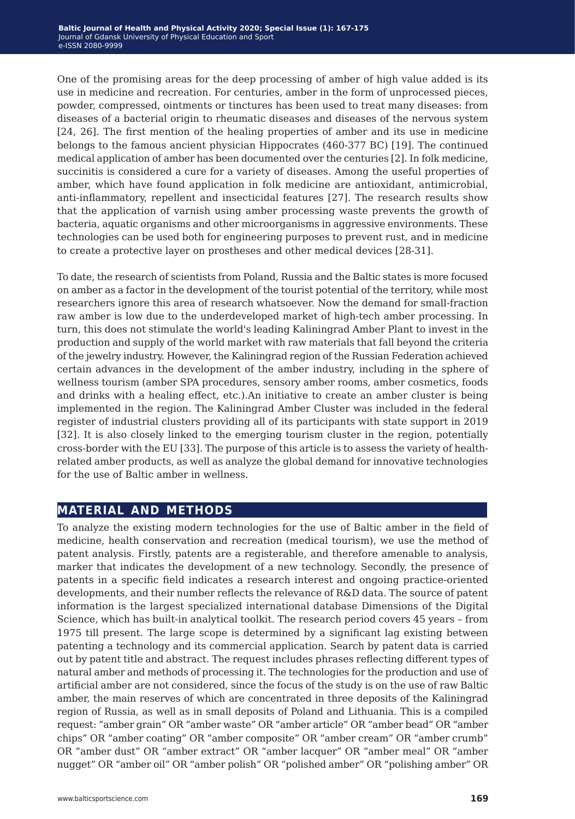One of the promising areas for the deep processing of amber of high value added is its use in medicine and recreation. For centuries, amber in the form of unprocessed pieces, powder, compressed, ointments or tinctures has been used to treat many diseases: from diseases of a bacterial origin to rheumatic diseases and diseases of the nervous system [24, 26]. The first mention of the healing properties of amber and its use in medicine belongs to the famous ancient physician Hippocrates (460-377 BC) [19]. The continued medical application of amber has been documented over the centuries [2]. In folk medicine, succinitis is considered a cure for a variety of diseases. Among the useful properties of amber, which have found application in folk medicine are antioxidant, antimicrobial, anti-inflammatory, repellent and insecticidal features [27]. The research results show that the application of varnish using amber processing waste prevents the growth of bacteria, aquatic organisms and other microorganisms in aggressive environments. These technologies can be used both for engineering purposes to prevent rust, and in medicine to create a protective layer on prostheses and other medical devices [28-31].

To date, the research of scientists from Poland, Russia and the Baltic states is more focused on amber as a factor in the development of the tourist potential of the territory, while most researchers ignore this area of research whatsoever. Now the demand for small-fraction raw amber is low due to the underdeveloped market of high-tech amber processing. In turn, this does not stimulate the world's leading Kaliningrad Amber Plant to invest in the production and supply of the world market with raw materials that fall beyond the criteria of the jewelry industry. However, the Kaliningrad region of the Russian Federation achieved certain advances in the development of the amber industry, including in the sphere of wellness tourism (amber SPA procedures, sensory amber rooms, amber cosmetics, foods and drinks with a healing effect, etc.).An initiative to create an amber cluster is being implemented in the region. The Kaliningrad Amber Cluster was included in the federal register of industrial clusters providing all of its participants with state support in 2019 [32]. It is also closely linked to the emerging tourism cluster in the region, potentially cross-border with the EU [33]. The purpose of this article is to assess the variety of healthrelated amber products, as well as analyze the global demand for innovative technologies for the use of Baltic amber in wellness.

# **material and methods**

To analyze the existing modern technologies for the use of Baltic amber in the field of medicine, health conservation and recreation (medical tourism), we use the method of patent analysis. Firstly, patents are a registerable, and therefore amenable to analysis, marker that indicates the development of a new technology. Secondly, the presence of patents in a specific field indicates a research interest and ongoing practice-oriented developments, and their number reflects the relevance of R&D data. The source of patent information is the largest specialized international database Dimensions of the Digital Science, which has built-in analytical toolkit. The research period covers 45 years – from 1975 till present. The large scope is determined by a significant lag existing between patenting a technology and its commercial application. Search by patent data is carried out by patent title and abstract. The request includes phrases reflecting different types of natural amber and methods of processing it. The technologies for the production and use of artificial amber are not considered, since the focus of the study is on the use of raw Baltic amber, the main reserves of which are concentrated in three deposits of the Kaliningrad region of Russia, as well as in small deposits of Poland and Lithuania. This is a compiled request: "amber grain" OR "amber waste" OR "amber article" OR "amber bead" OR "amber chips" OR "amber coating" OR "amber composite" OR "amber cream" OR "amber crumb" OR "amber dust" OR "amber extract" OR "amber lacquer" OR "amber meal" OR "amber nugget" OR "amber oil" OR "amber polish" OR "polished amber" OR "polishing amber" OR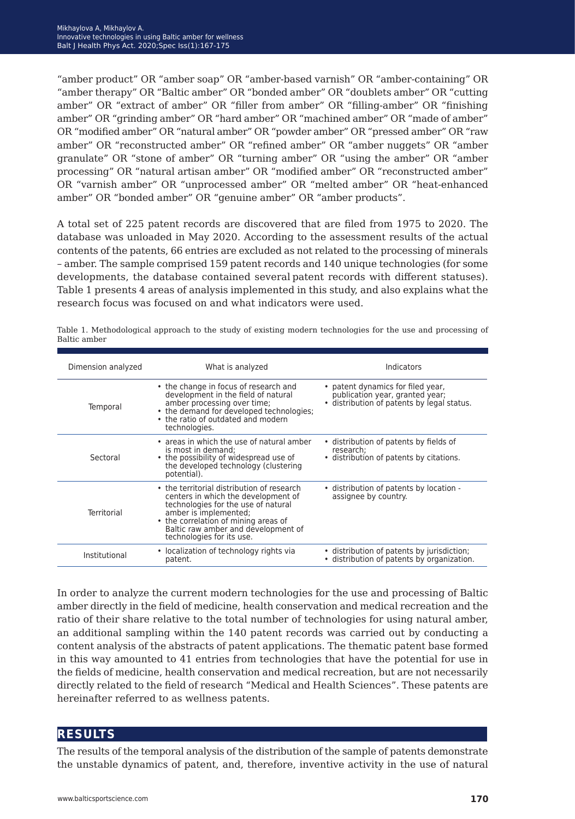"amber product" OR "amber soap" OR "amber-based varnish" OR "amber-containing" OR "amber therapy" OR "Baltic amber" OR "bonded amber" OR "doublets amber" OR "cutting amber" OR "extract of amber" OR "filler from amber" OR "filling-amber" OR "finishing amber" OR "grinding amber" OR "hard amber" OR "machined amber" OR "made of amber" OR "modified amber" OR "natural amber" OR "powder amber" OR "pressed amber" OR "raw amber" OR "reconstructed amber" OR "refined amber" OR "amber nuggets" OR "amber granulate" OR "stone of amber" OR "turning amber" OR "using the amber" OR "amber processing" OR "natural artisan amber" OR "modified amber" OR "reconstructed amber" OR "varnish amber" OR "unprocessed amber" OR "melted amber" OR "heat-enhanced amber" OR "bonded amber" OR "genuine amber" OR "amber products".

A total set of 225 patent records are discovered that are filed from 1975 to 2020. The database was unloaded in May 2020. According to the assessment results of the actual contents of the patents, 66 entries are excluded as not related to the processing of minerals – amber. The sample comprised 159 patent records and 140 unique technologies (for some developments, the database contained several patent records with different statuses). Table 1 presents 4 areas of analysis implemented in this study, and also explains what the research focus was focused on and what indicators were used.

| Dimension analyzed                                                                                                                                                                                                                                                           | What is analyzed                                                                                                                                                                                               | Indicators                                                                                                         |  |  |
|------------------------------------------------------------------------------------------------------------------------------------------------------------------------------------------------------------------------------------------------------------------------------|----------------------------------------------------------------------------------------------------------------------------------------------------------------------------------------------------------------|--------------------------------------------------------------------------------------------------------------------|--|--|
| Temporal                                                                                                                                                                                                                                                                     | • the change in focus of research and<br>development in the field of natural<br>amber processing over time;<br>• the demand for developed technologies;<br>• the ratio of outdated and modern<br>technologies. | • patent dynamics for filed year,<br>publication year, granted year;<br>· distribution of patents by legal status. |  |  |
| Sectoral                                                                                                                                                                                                                                                                     | • areas in which the use of natural amber<br>is most in demand:<br>• the possibility of widespread use of<br>the developed technology (clustering<br>potential).                                               | • distribution of patents by fields of<br>research:<br>· distribution of patents by citations.                     |  |  |
| • the territorial distribution of research<br>centers in which the development of<br>technologies for the use of natural<br>amber is implemented;<br>Territorial<br>• the correlation of mining areas of<br>Baltic raw amber and development of<br>technologies for its use. |                                                                                                                                                                                                                | • distribution of patents by location -<br>assignee by country.                                                    |  |  |
| Institutional                                                                                                                                                                                                                                                                | • localization of technology rights via<br>patent.                                                                                                                                                             | • distribution of patents by jurisdiction;<br>· distribution of patents by organization.                           |  |  |
|                                                                                                                                                                                                                                                                              |                                                                                                                                                                                                                |                                                                                                                    |  |  |

Table 1. Methodological approach to the study of existing modern technologies for the use and processing of Baltic amber

In order to analyze the current modern technologies for the use and processing of Baltic amber directly in the field of medicine, health conservation and medical recreation and the ratio of their share relative to the total number of technologies for using natural amber, an additional sampling within the 140 patent records was carried out by conducting a content analysis of the abstracts of patent applications. The thematic patent base formed in this way amounted to 41 entries from technologies that have the potential for use in the fields of medicine, health conservation and medical recreation, but are not necessarily directly related to the field of research "Medical and Health Sciences". These patents are hereinafter referred to as wellness patents.

## **results**

The results of the temporal analysis of the distribution of the sample of patents demonstrate the unstable dynamics of patent, and, therefore, inventive activity in the use of natural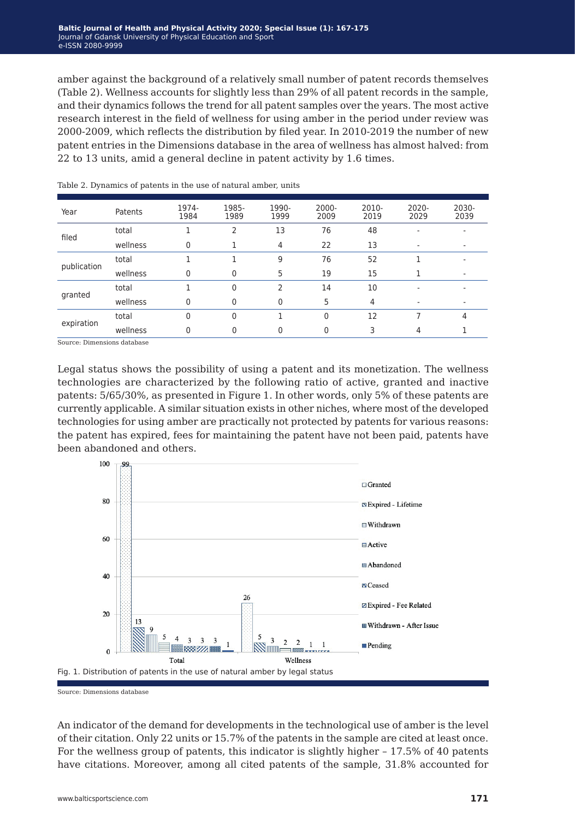amber against the background of a relatively small number of patent records themselves (Table 2). Wellness accounts for slightly less than 29% of all patent records in the sample, and their dynamics follows the trend for all patent samples over the years. The most active research interest in the field of wellness for using amber in the period under review was 2000-2009, which reflects the distribution by filed year. In 2010-2019 the number of new patent entries in the Dimensions database in the area of wellness has almost halved: from 22 to 13 units, amid a general decline in patent activity by 1.6 times.

| Year        | Patents  | 1974-<br>1984 | 1985-<br>1989 | 1990-<br>1999 | $2000 -$<br>2009 | 2010-<br>2019 | $2020 -$<br>2029 | 2030-<br>2039 |
|-------------|----------|---------------|---------------|---------------|------------------|---------------|------------------|---------------|
| filed       | total    |               | $\mathcal{P}$ | 13            | 76               | 48            |                  |               |
|             | wellness | $\Omega$      |               | 4             | 22               | 13            |                  |               |
| publication | total    |               |               | 9             | 76               | 52            |                  |               |
|             | wellness | $\mathbf{0}$  | $\mathbf 0$   | 5             | 19               | 15            |                  |               |
| granted     | total    |               | $\Omega$      | $\mathcal{P}$ | 14               | 10            |                  |               |
|             | wellness | $\mathbf{0}$  | $\mathbf{0}$  | $\mathbf{0}$  | 5                | 4             |                  |               |
| expiration  | total    | $\mathbf{0}$  | $\mathbf{0}$  |               | $\Omega$         | 12            |                  | 4             |
|             | wellness | $\mathbf{0}$  | $\mathbf{0}$  | 0             | $\Omega$         |               | 4                |               |

Table 2. Dynamics of patents in the use of natural amber, units

Source: Dimensions database

Legal status shows the possibility of using a patent and its monetization. The wellness technologies are characterized by the following ratio of active, granted and inactive patents: 5/65/30%, as presented in Figure 1. In other words, only 5% of these patents are currently applicable. A similar situation exists in other niches, where most of the developed technologies for using amber are practically not protected by patents for various reasons: the patent has expired, fees for maintaining the patent have not been paid, patents have been abandoned and others.



Source: Dimensions database

An indicator of the demand for developments in the technological use of amber is the level of their citation. Only 22 units or 15.7% of the patents in the sample are cited at least once. For the wellness group of patents, this indicator is slightly higher – 17.5% of 40 patents have citations. Moreover, among all cited patents of the sample, 31.8% accounted for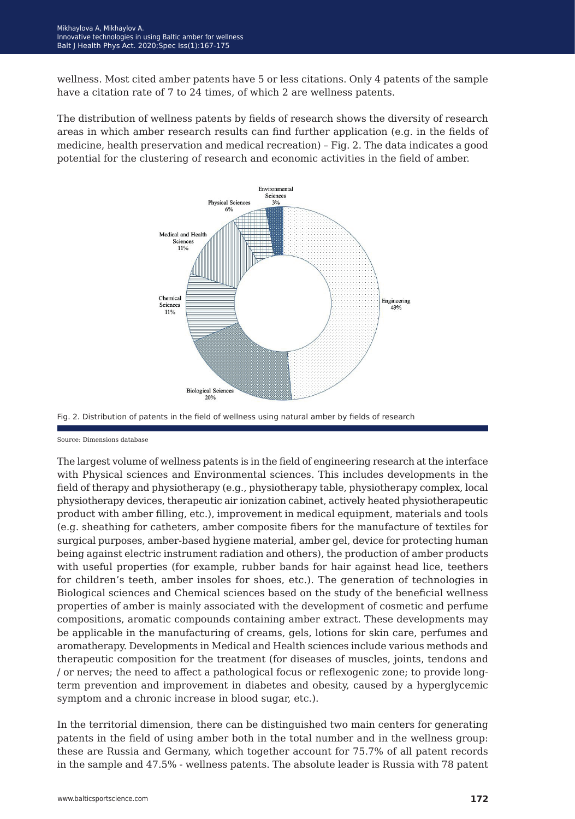wellness. Most cited amber patents have 5 or less citations. Only 4 patents of the sample have a citation rate of 7 to 24 times, of which 2 are wellness patents.

The distribution of wellness patents by fields of research shows the diversity of research areas in which amber research results can find further application (e.g. in the fields of medicine, health preservation and medical recreation) – Fig. 2. The data indicates a good potential for the clustering of research and economic activities in the field of amber.



Fig. 2. Distribution of patents in the field of wellness using natural amber by fields of research

Source: Dimensions database

The largest volume of wellness patents is in the field of engineering research at the interface with Physical sciences and Environmental sciences. This includes developments in the field of therapy and physiotherapy (e.g., physiotherapy table, physiotherapy complex, local physiotherapy devices, therapeutic air ionization cabinet, actively heated physiotherapeutic product with amber filling, etc.), improvement in medical equipment, materials and tools (e.g. sheathing for catheters, amber composite fibers for the manufacture of textiles for surgical purposes, amber-based hygiene material, amber gel, device for protecting human being against electric instrument radiation and others), the production of amber products with useful properties (for example, rubber bands for hair against head lice, teethers for children's teeth, amber insoles for shoes, etc.). The generation of technologies in Biological sciences and Chemical sciences based on the study of the beneficial wellness properties of amber is mainly associated with the development of cosmetic and perfume compositions, aromatic compounds containing amber extract. These developments may be applicable in the manufacturing of creams, gels, lotions for skin care, perfumes and aromatherapy. Developments in Medical and Health sciences include various methods and therapeutic composition for the treatment (for diseases of muscles, joints, tendons and / or nerves; the need to affect a pathological focus or reflexogenic zone; to provide longterm prevention and improvement in diabetes and obesity, caused by a hyperglycemic symptom and a chronic increase in blood sugar, etc.).

In the territorial dimension, there can be distinguished two main centers for generating patents in the field of using amber both in the total number and in the wellness group: these are Russia and Germany, which together account for 75.7% of all patent records in the sample and 47.5% - wellness patents. The absolute leader is Russia with 78 patent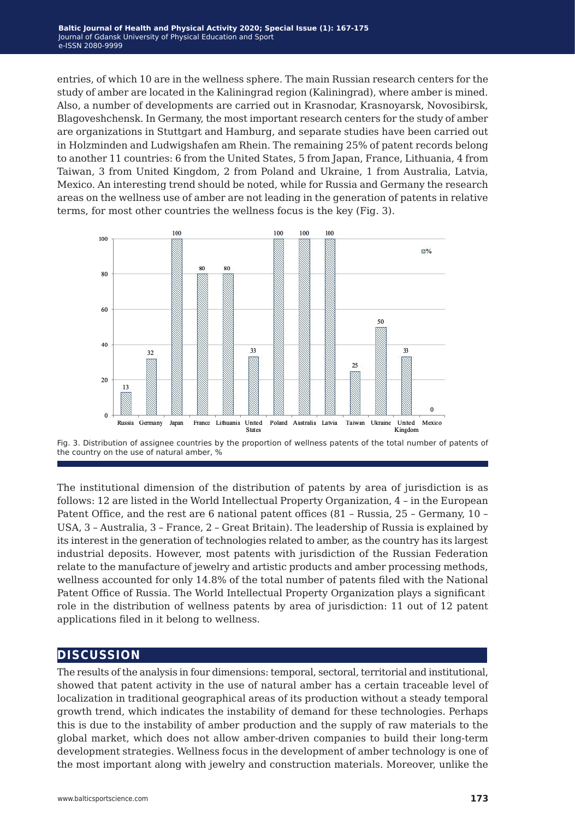entries, of which 10 are in the wellness sphere. The main Russian research centers for the study of amber are located in the Kaliningrad region (Kaliningrad), where amber is mined. Also, a number of developments are carried out in Krasnodar, Krasnoyarsk, Novosibirsk, Blagoveshchensk. In Germany, the most important research centers for the study of amber are organizations in Stuttgart and Hamburg, and separate studies have been carried out in Holzminden and Ludwigshafen am Rhein. The remaining 25% of patent records belong to another 11 countries: 6 from the United States, 5 from Japan, France, Lithuania, 4 from Taiwan, 3 from United Kingdom, 2 from Poland and Ukraine, 1 from Australia, Latvia, Mexico. An interesting trend should be noted, while for Russia and Germany the research areas on the wellness use of amber are not leading in the generation of patents in relative terms, for most other countries the wellness focus is the key (Fig. 3).





The institutional dimension of the distribution of patents by area of jurisdiction is as follows: 12 are listed in the World Intellectual Property Organization, 4 – in the European Patent Office, and the rest are 6 national patent offices (81 – Russia, 25 – Germany, 10 – USA, 3 – Australia, 3 – France, 2 – Great Britain). The leadership of Russia is explained by its interest in the generation of technologies related to amber, as the country has its largest industrial deposits. However, most patents with jurisdiction of the Russian Federation relate to the manufacture of jewelry and artistic products and amber processing methods, wellness accounted for only 14.8% of the total number of patents filed with the National Patent Office of Russia. The World Intellectual Property Organization plays a significant role in the distribution of wellness patents by area of jurisdiction: 11 out of 12 patent applications filed in it belong to wellness.

## **discussion**

The results of the analysis in four dimensions: temporal, sectoral, territorial and institutional, showed that patent activity in the use of natural amber has a certain traceable level of localization in traditional geographical areas of its production without a steady temporal growth trend, which indicates the instability of demand for these technologies. Perhaps this is due to the instability of amber production and the supply of raw materials to the global market, which does not allow amber-driven companies to build their long-term development strategies. Wellness focus in the development of amber technology is one of the most important along with jewelry and construction materials. Moreover, unlike the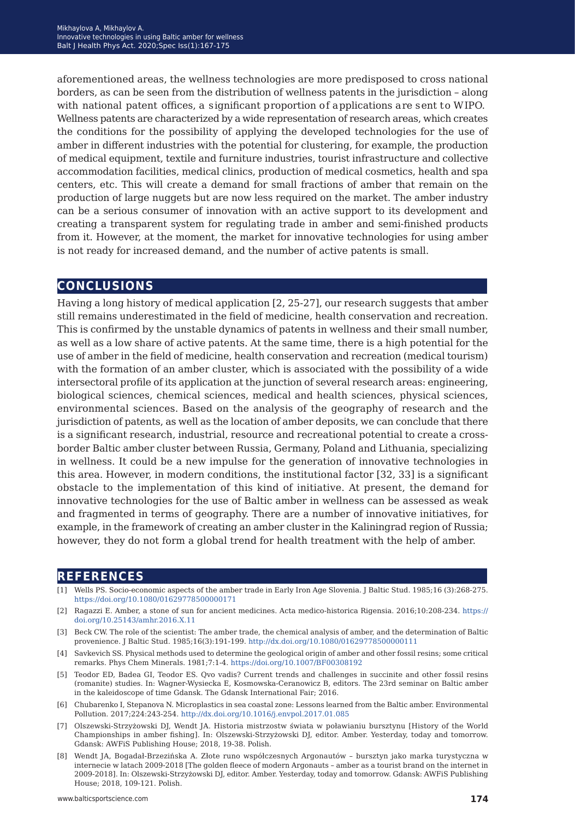aforementioned areas, the wellness technologies are more predisposed to cross national borders, as can be seen from the distribution of wellness patents in the jurisdiction – along with national patent offices, a significant proportion of applications are sent to WIPO. Wellness patents are characterized by a wide representation of research areas, which creates the conditions for the possibility of applying the developed technologies for the use of amber in different industries with the potential for clustering, for example, the production of medical equipment, textile and furniture industries, tourist infrastructure and collective accommodation facilities, medical clinics, production of medical cosmetics, health and spa centers, etc. This will create a demand for small fractions of amber that remain on the production of large nuggets but are now less required on the market. The amber industry can be a serious consumer of innovation with an active support to its development and creating a transparent system for regulating trade in amber and semi-finished products from it. However, at the moment, the market for innovative technologies for using amber is not ready for increased demand, and the number of active patents is small.

## **conclusions**

Having a long history of medical application [2, 25-27], our research suggests that amber still remains underestimated in the field of medicine, health conservation and recreation. This is confirmed by the unstable dynamics of patents in wellness and their small number, as well as a low share of active patents. At the same time, there is a high potential for the use of amber in the field of medicine, health conservation and recreation (medical tourism) with the formation of an amber cluster, which is associated with the possibility of a wide intersectoral profile of its application at the junction of several research areas: engineering, biological sciences, chemical sciences, medical and health sciences, physical sciences, environmental sciences. Based on the analysis of the geography of research and the jurisdiction of patents, as well as the location of amber deposits, we can conclude that there is a significant research, industrial, resource and recreational potential to create a crossborder Baltic amber cluster between Russia, Germany, Poland and Lithuania, specializing in wellness. It could be a new impulse for the generation of innovative technologies in this area. However, in modern conditions, the institutional factor [32, 33] is a significant obstacle to the implementation of this kind of initiative. At present, the demand for innovative technologies for the use of Baltic amber in wellness can be assessed as weak and fragmented in terms of geography. There are a number of innovative initiatives, for example, in the framework of creating an amber cluster in the Kaliningrad region of Russia; however, they do not form a global trend for health treatment with the help of amber.

### **references**

- [1] Wells PS. Socio-economic aspects of the amber trade in Early Iron Age Slovenia. J Baltic Stud. 1985;16 (3):268-275. <https://doi.org/10.1080/01629778500000171>
- [2] Ragazzi E. Amber, a stone of sun for ancient medicines. Acta medico-historica Rigensia. 2016;10:208-234. [https://](https://doi.org/10.25143/amhr.2016.X.11) [doi.org/10.25143/amhr.2016.X.11](https://doi.org/10.25143/amhr.2016.X.11)
- [3] Beck CW. The role of the scientist: The amber trade, the chemical analysis of amber, and the determination of Baltic provenience. J Baltic Stud. 1985;16(3):191-199. <http://dx.doi.org/10.1080/01629778500000111>
- [4] Savkevich SS. Physical methods used to determine the geological origin of amber and other fossil resins; some critical remarks. Phys Chem Minerals. 1981;7:1-4. <https://doi.org/10.1007/BF00308192>
- [5] Teodor ED, Badea GI, Teodor ES. Qvo vadis? Current trends and challenges in succinite and other fossil resins (romanite) studies. In: Wagner-Wysiecka E, Kosmowska-Ceranowicz B, editors. The 23rd seminar on Baltic amber in the kaleidoscope of time Gdansk. The Gdansk International Fair; 2016.
- [6] Chubarenko I, Stepanova N. Microplastics in sea coastal zone: Lessons learned from the Baltic amber. Environmental Pollution. 2017;224:243-254. <http://dx.doi.org/10.1016/j.envpol.2017.01.085>
- [7] Olszewski-Strzyżowski DJ, Wendt JA. Historia mistrzostw świata w poławianiu bursztynu [History of the World Championships in amber fishing]. In: Olszewski-Strzyżowski DJ, editor. Amber. Yesterday, today and tomorrow. Gdansk: AWFiS Publishing House; 2018, 19-38. Polish.
- [8] Wendt JA, Bogadał-Brzezińska A. Złote runo współczesnych Argonautów bursztyn jako marka turystyczna w internecie w latach 2009-2018 [The golden fleece of modern Argonauts – amber as a tourist brand on the internet in 2009-2018]. In: Olszewski-Strzyżowski DJ, editor. Amber. Yesterday, today and tomorrow. Gdansk: AWFiS Publishing House; 2018, 109-121. Polish.